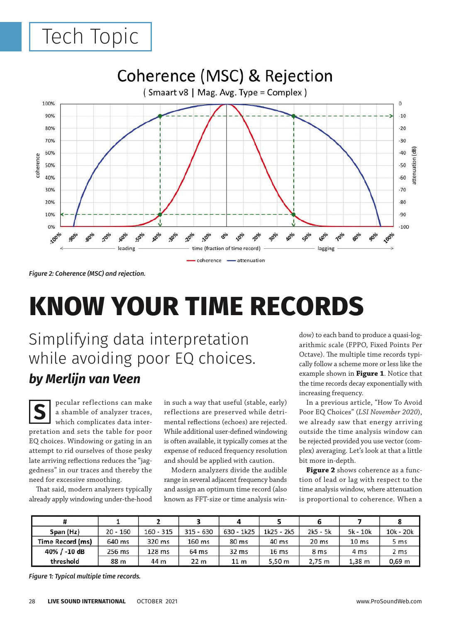## Tech Topic



*Figure 2: Coherence (MSC) and rejection.*

# **KNOW YOUR TIME RECORDS**

Simplifying data interpretation while avoiding poor EQ choices. *by Merlijn van Veen*

pecular reflections can make a shamble of analyzer traces, which complicates data interpretation and sets the table for poor EQ choices. Windowing or gating in an attempt to rid ourselves of those pesky late arriving reflections reduces the "jaggedness" in our traces and thereby the need for excessive smoothing. **S**

That said, modern analyzers typically already apply windowing under-the-hood in such a way that useful (stable, early) reflections are preserved while detrimental reflections (echoes) are rejected. While additional user-defined windowing is often available, it typically comes at the expense of reduced frequency resolution and should be applied with caution.

Modern analyzers divide the audible range in several adjacent frequency bands and assign an optimum time record (also known as FFT-size or time analysis win-

dow) to each band to produce a quasi-logarithmic scale (FPPO, Fixed Points Per Octave). The multiple time records typically follow a scheme more or less like the example shown in **Figure 1**. Notice that the time records decay exponentially with increasing frequency.

In a previous article, "How To Avoid Poor EQ Choices" (*LSI November 2020*), we already saw that energy arriving outside the time analysis window can be rejected provided you use vector (complex) averaging. Let's look at that a little bit more in-depth.

**Figure 2** shows coherence as a function of lead or lag with respect to the time analysis window, where attenuation is proportional to coherence. When a

| Span (Hz)        | $20 - 160$ | $160 - 315$ | $315 - 630$     | $630 - 1k25$    | $1k25 - 2k5$     | $2k5 - 5k$       | $5k - 10k$       | $10k - 20k$     |
|------------------|------------|-------------|-----------------|-----------------|------------------|------------------|------------------|-----------------|
| Time Record (ms) | 640 ms     | 320 ms      | 160 ms          | 80 ms           | 40 ms            | 20 <sub>ms</sub> | 10 <sub>ms</sub> | 5 ms            |
| 40% $/ -10$ dB   | 256 ms     | 128 ms      | 64 ms           | 32 ms           | 16 <sub>ms</sub> | 8 <sub>ms</sub>  | 4 ms             | 2 <sub>ms</sub> |
| threshold        | 88 m       | 44 m        | 22 <sub>m</sub> | 11 <sub>m</sub> | 5.50 m           | 2.75 m           | $1,38 \; m$      | $0,69$ m        |

*Figure 1: Typical multiple time records.*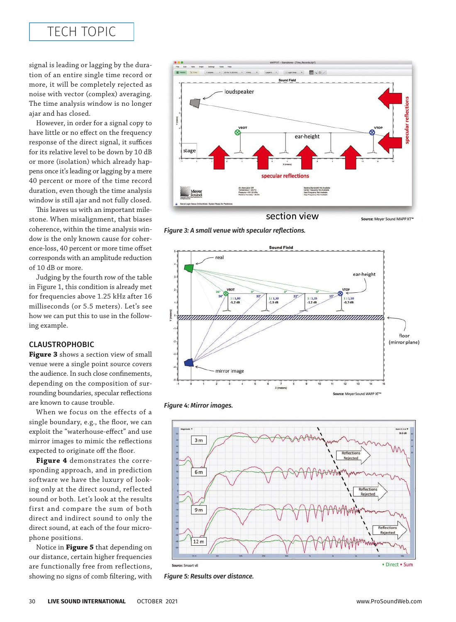## TECH TOPIC

signal is leading or lagging by the duration of an entire single time record or more, it will be completely rejected as noise with vector (complex) averaging. The time analysis window is no longer ajar and has closed.

However, in order for a signal copy to have little or no effect on the frequency response of the direct signal, it suffices for its relative level to be down by 10 dB or more (isolation) which already happens once it's leading or lagging by a mere 40 percent or more of the time record duration, even though the time analysis window is still ajar and not fully closed.

This leaves us with an important milestone. When misalignment, that biases coherence, within the time analysis window is the only known cause for coherence-loss, 40 percent or more time offset corresponds with an amplitude reduction of 10 dB or more.

Judging by the fourth row of the table in Figure 1, this condition is already met for frequencies above 1.25 kHz after 16 milliseconds (or 5.5 meters). Let's see how we can put this to use in the following example.

## CLAUSTROPHOBIC

**Figure 3** shows a section view of small venue were a single point source covers the audience. In such close confinements, depending on the composition of surrounding boundaries, specular reflections are known to cause trouble.

When we focus on the effects of a single boundary, e.g., the floor, we can exploit the "waterhouse-effect" and use mirror images to mimic the reflections expected to originate off the floor.

**Figure 4** demonstrates the corresponding approach, and in prediction software we have the luxury of looking only at the direct sound, reflected sound or both. Let's look at the results first and compare the sum of both direct and indirect sound to only the direct sound, at each of the four microphone positions.

Notice in **Figure 5** that depending on our distance, certain higher frequencies are functionally free from reflections, showing no signs of comb filtering, with



*Figure 3: A small venue with specular reflections.*



*Figure 4: Mirror images.*



*Figure 5: Results over distance.*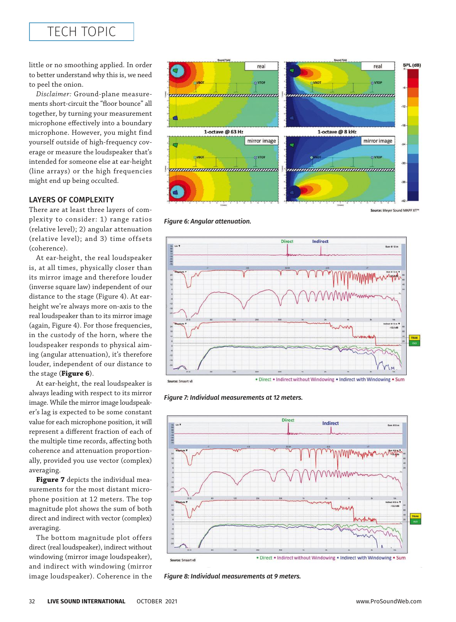## TECH TOPIC

little or no smoothing applied. In order to better understand why this is, we need to peel the onion.

*Disclaimer:* Ground-plane measurements short-circuit the "floor bounce" all together, by turning your measurement microphone effectively into a boundary microphone. However, you might find yourself outside of high-frequency coverage or measure the loudspeaker that's intended for someone else at ear-height (line arrays) or the high frequencies might end up being occulted.

## LAYERS OF COMPLEXITY

There are at least three layers of complexity to consider: 1) range ratios (relative level); 2) angular attenuation (relative level); and 3) time offsets (coherence).

At ear-height, the real loudspeaker is, at all times, physically closer than its mirror image and therefore louder (inverse square law) independent of our distance to the stage (Figure 4). At earheight we're always more on-axis to the real loudspeaker than to its mirror image (again, Figure 4). For those frequencies, in the custody of the horn, where the loudspeaker responds to physical aiming (angular attenuation), it's therefore louder, independent of our distance to the stage (**Figure 6**).

At ear-height, the real loudspeaker is always leading with respect to its mirror image. While the mirror image loudspeaker's lag is expected to be some constant value for each microphone position, it will represent a different fraction of each of the multiple time records, affecting both coherence and attenuation proportionally, provided you use vector (complex) averaging.

**Figure 7** depicts the individual measurements for the most distant microphone position at 12 meters. The top magnitude plot shows the sum of both direct and indirect with vector (complex) averaging.

The bottom magnitude plot offers direct (real loudspeaker), indirect without windowing (mirror image loudspeaker), and indirect with windowing (mirror image loudspeaker). Coherence in the



Source: Meyer Sound MAPP XT<sup>®</sup>

*Figure 6: Angular attenuation.*



*Figure 7: Individual measurements at 12 meters.*



*Figure 8: Individual measurements at 9 meters.*